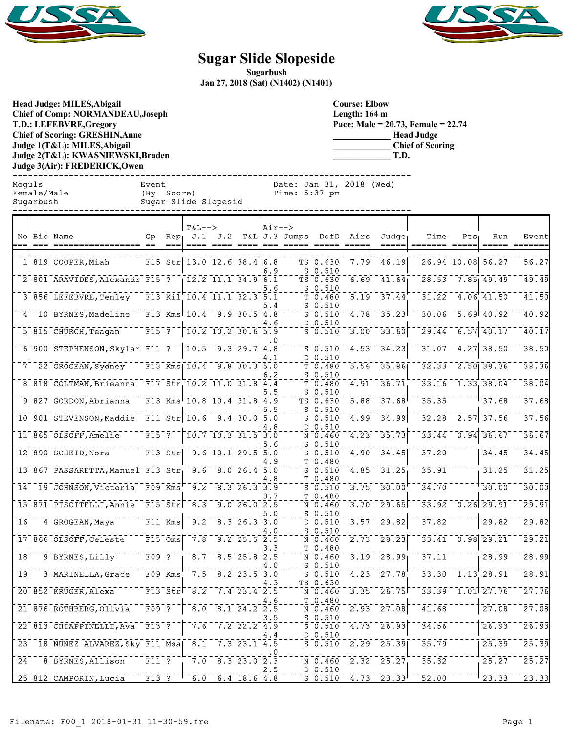



## **Sugar Slide Slopeside**

**Sugarbush Jan 27, 2018 (Sat) (N1402) (N1401)**

**Head Judge: MILES,Abigail Chief of Comp: NORMANDEAU,Joseph T.D.: LEFEBVRE,Gregory Chief of Scoring: GRESHIN,Anne Judge 1(T&L): MILES,Abigail Judge 2(T&L): KWASNIEWSKI,Braden Judge 3(Air): FREDERICK,Owen** 

**Course: Elbow Length: 164 m Pace: Male = 20.73, Female = 22.74 \_\_\_\_\_\_\_\_\_\_\_\_\_ Head Judge \_\_\_\_\_\_\_\_\_\_\_\_\_ Chief of Scoring \_\_\_\_\_\_\_\_\_\_\_\_\_ T.D.**

------------------------------------------------------------------------------ Moguls Event Date: Jan 31, 2018 (Wed) Time:  $5:37$  pm Sugarbush Sugar Slide Slopesid ------------------------------------------------------------------------------

|                 |      |                                   |                                   |                                                   | <b>T&amp;L--&gt;</b>                      | J.2                            |                                        | Air-->     |                               |                                                  |      |                | Time                                |     |                         |                                                                |
|-----------------|------|-----------------------------------|-----------------------------------|---------------------------------------------------|-------------------------------------------|--------------------------------|----------------------------------------|------------|-------------------------------|--------------------------------------------------|------|----------------|-------------------------------------|-----|-------------------------|----------------------------------------------------------------|
|                 | $==$ | No Bib Name<br>=================  | Gp                                | $Rep_{\perp}$                                     | J.1                                       |                                |                                        |            | $T&L_1J.3$ Jumps<br>=== ===== | DofD<br>$\qquad \qquad = \qquad \qquad = \qquad$ | Airs | Judae<br>===== | ======= =====                       | Pts | Run                     | Event<br>$=$ $=$ $=$ $=$ $=$ $=$                               |
|                 |      | $1 819$ COOPER, Miah              |                                   |                                                   | F15 Str 13.0 12.6 38.4 6.8                |                                |                                        | 6.9        |                               | TS 0.630<br>S 0.510                              | 7.79 | 46.19          |                                     |     | 26.94 10.08 56.27       | $\bar{56}.\bar{27}$                                            |
|                 |      | 2 801 ARAVIDES, Alexandr F15 ?    |                                   |                                                   |                                           | $12.2$ 11.1 34.9 6.1           |                                        | 5.6        | s                             | TS 0.630<br>0.510                                | 6.69 | 41.64          |                                     |     | 28.53 7.85 49.49        | 49.49                                                          |
|                 |      | 3 856 LEFEBVRE, Tenley            |                                   |                                                   | $F13$ $\overline{K11}$ 10.4 11.1 32.3 5.1 |                                |                                        | 5.4        |                               | T 0.480<br>$S_0.510$                             | 5.19 | 37.44          | 31.22                               |     | $-4.06$ 41.50           | 41.50                                                          |
| $\vert$ 4       |      | 10 BYRNES, Madeline               |                                   |                                                   | F13 Kms $10.4$ 9.9 30.5 4.8               |                                |                                        | 4.6        |                               | $S_0.510$<br>D 0.510                             | 4.78 | 35.23          | 30.06                               |     | $-5.69$ 40.92           | 40.92                                                          |
| 5Г              |      | 815 CHURCH, Teagan                | $F15$ <sup>-</sup> ?              |                                                   |                                           | $10.2$ $10.2$ $30.6$ $5.9$     |                                        |            |                               | $S$ 0.510                                        | 3.00 | 33.60          | 29.44                               |     | $\overline{6.57}$ 40.17 | $\overline{40.17}$                                             |
| $\bar{6}$       |      | 900 STEPHENSON, Skylar F11 ?      |                                   |                                                   |                                           | $10.5 - 9.3 29.7$ 4.8          |                                        | 4.1        |                               | $S_0.510$<br>D 0.510                             | 4.53 | 34.23          | $\bar{3}\bar{1}$ . $\bar{0}\bar{7}$ |     | $\sqrt{4.27}$ 38.50     | 38.50                                                          |
| 7 <sub>1</sub>  |      | 22 GROGEAN, Sydney                |                                   |                                                   | $F13$ Kms $10.4$ 9.8 30.3 5.0             |                                |                                        | 6.2        |                               | T <sub>0.480</sub><br>S <sub>0.510</sub>         | 5.56 | 35.86          |                                     |     | $32.33$ $2.50$ $38.36$  | 38.36                                                          |
|                 |      | 8,818 COLTMAN, Brieanna           |                                   |                                                   | F17 Str 10.2 11.0 31.8 4.4                |                                |                                        | 5.5        |                               | T 0.480<br>$S_0.510$                             | 4.91 | 36.71          |                                     |     | 33.16 1.33 38.04        | 38.04                                                          |
|                 |      | 9 827 GORDON, Abrianna            |                                   |                                                   | $F13$ Kms $10.8$ 10.4 31.8 4.9            |                                |                                        |            |                               | TS 0.630                                         | 5.88 | 37.68          | 35.35                               |     | 37.68                   | 37.68                                                          |
| 10 <sup>1</sup> |      | 901 STEVENSON, Maddie             |                                   |                                                   | $F11$ $Str$ $10.6$ $9.4$ $30.0$ $5.0$     |                                |                                        | 5.5        |                               | $S_0.510$<br>$S_0.510$                           | 4.99 | 34.99          | 32.28                               |     | $2.57$ 37.56            | 37.56                                                          |
| īīΓ             |      | 865 OLSOFF, Amelie                | $\overline{F15}$ <sup>-</sup> ?   |                                                   |                                           | $10.7$ 10.3 31.5 3.0           |                                        | 4.8        |                               | D 0.510<br>N 0.460                               | 4.23 | 35.73          | 33.44                               |     | $-0.94$ 36.67           | 36.67                                                          |
|                 |      | 12 890 SCHEID, Nora               |                                   | $F13$ $Stri$                                      |                                           | $\overline{9.6}$ 10.1 29.5 5.0 |                                        | 5.6<br>4.9 |                               | S 0.510<br>$S_0.510$<br>T 0.480                  | 4.90 | 34.45          | 37.20                               |     | 34.45                   | 34.45                                                          |
|                 |      | 13 867 PASSARETTA, Manuel F13 Str |                                   |                                                   |                                           | $9.6$ 8.0 26.4 5.0             |                                        |            | т                             | $S$ 0.510                                        | 4.85 | 31.25          | 35.91                               |     | 31.25                   | 31.25                                                          |
| 14'             |      | 19 JOHNSON, Victoria F09 Kms      |                                   |                                                   | 9.2                                       |                                | $8.3$ 26.3 3.9                         | 4.8        |                               | 0.480<br>$S$ 0.510                               | 3.75 | 30.00          | 34.70                               |     | 30.00                   | 30.00                                                          |
|                 |      | 15 871 PISCITELLI, Annie          | $\overline{r15}$ $\overline{str}$ |                                                   | 8.3                                       |                                | 9.026.02.5                             | 3.7        | т                             | 0.480<br>N 0.460                                 | 3.70 | 29.65          | 33.92                               |     | $0.26$ 29.91            | 29.91                                                          |
| $\overline{16}$ |      | 4 GROGEAN, Maya                   |                                   | $F11$ Kms                                         | $\overline{9.2}$                          |                                | $\overline{8.3}$ 26.3 $\overline{3.0}$ | 5.0        |                               | $S_0.510$<br>D 0.510                             | 3.57 | 29.82          | 37.82                               |     | 29.82                   | $\overline{2}\overline{9}\overline{.}\overline{8}\overline{2}$ |
| 17              |      | 866 OLSOFF, Celeste               |                                   | $F15$ $Oms$                                       | 7.8                                       |                                | $9.2$ $25.5$ $2.5$                     | 4.O<br>3.3 |                               | S 0.510<br>N 0.460                               | 2.73 | 28.23          | 33.41                               |     | $\overline{0.98}$ 29.21 | 29.21                                                          |
| 18 <sub>1</sub> |      | 9 BYRNES, Lilly                   | $F09$ <sup>-</sup> ?              |                                                   | 8.7                                       |                                | $8.5$ 25.8 2.5                         |            |                               | T 0.480<br>N 0.460                               | 3.19 | 28.99          | 37.11                               |     | 28.99                   | 28.99                                                          |
| 19              |      | 3 MARINELLA, Grace                |                                   | F09 Kms                                           | 7.5                                       |                                | $8.2$ 23.5 3.0                         | 4.0        |                               | $S_0.510$<br>$S_0.510$                           | 4.23 | 27.78          | 33.30                               |     | $1.13$ 28.91            | $\bar{2}\bar{8}\cdot\bar{9}\bar{1}$                            |
|                 |      | 20 852 KRUGER, Alexa              |                                   | $\overline{F13}$ $\overline{S}$ tr $\overline{F}$ | $\sqrt{8.2}$                              |                                | $7.4$ 23.4 2.5                         | 4.3        |                               | TS 0.630<br>N 0.460                              | 3.35 | 26.75          | 33.39                               |     | $-1.01$ 27.76           | $\bar{2}\bar{7}\bar{.}\bar{7}\bar{6}$                          |
| $\overline{21}$ |      | 876 ROTHBERG, Olivia              | $F09$ ?                           |                                                   | 8.0                                       |                                | $8.1$ 24.2 2.5                         | 4.6        |                               | T 0.480<br>N 0.460                               | 2.93 | 27.08          | 41.68                               |     | 27.08                   | 27.08                                                          |
| 22              |      | 813 CHIAPPINELLI, Ava             | F13 ?                             |                                                   | 7.6                                       |                                | $7.2$ 22.2 4.9                         | . 5<br>4.4 |                               | $S_0.510$<br>$S_0.510$<br>D 0.510                | 4.73 | 26.93          | 34.56                               |     | 26.93                   | 26.93                                                          |
| 231             |      | 18 NUNEZ ALVAREZ, Sky F11 Msa     |                                   |                                                   | 8.1                                       |                                | $7.3$ 23.1 4.5                         |            |                               | $S_0.510$                                        | 2.29 | 25.39          | 35.79                               |     | 25.39                   | 25.39                                                          |
| $\overline{24}$ |      | 8 BYRNES, Allison                 | F11 ?                             |                                                   | 7.0                                       |                                | $8.3$ 23.0 2.3                         | . 0<br>. 5 |                               | N 0.460<br>D 0.510                               | 2.32 | 25.27          | 35.32                               |     | 25.27                   | 25.27                                                          |
|                 |      | 25 812 CAMPORIN, Lucia            | $F13$ ?                           |                                                   | $\overline{6.0}$                          |                                | $6.4$ 18.6 4.8                         |            |                               | $S_0.510$                                        | 4.73 | 23.33          | 52.00                               |     | 23.33                   | 23.33                                                          |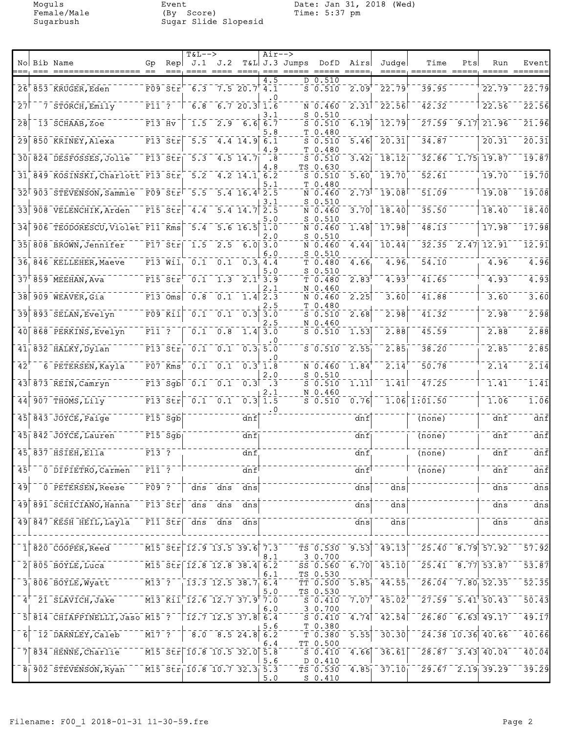Moguls Event Date: Jan 31, 2018 (Wed) Female/Male (By Score) Time: 5:37 pm Sugarbush Sugar Slide Slopesid

|                  |                                                   |                         |                                                               | <b>T&amp;L--&gt;</b>                                                                                                                                                                                                                                                          |                                                                      |                                                    | Air-->                      |               |                                 |                        |                                                              |                                        |               |                                                          |                                                         |
|------------------|---------------------------------------------------|-------------------------|---------------------------------------------------------------|-------------------------------------------------------------------------------------------------------------------------------------------------------------------------------------------------------------------------------------------------------------------------------|----------------------------------------------------------------------|----------------------------------------------------|-----------------------------|---------------|---------------------------------|------------------------|--------------------------------------------------------------|----------------------------------------|---------------|----------------------------------------------------------|---------------------------------------------------------|
|                  | No Bib Name                                       | Gp                      | Rep                                                           | J.1                                                                                                                                                                                                                                                                           | J.2                                                                  |                                                    |                             | T&L J.3 Jumps | DofD                            | Airs                   | Judge                                                        | Time                                   | Pts           | Run                                                      | Event                                                   |
|                  | 26 853 KRUGER, Eden                               |                         | $F09$ $Str$                                                   | 6.3                                                                                                                                                                                                                                                                           |                                                                      | 7.520.77.1                                         | 4.5                         |               | D 0.510<br>$S = 0.510$          | 2.09                   | $\overline{22.79}$                                           | 39.95                                  |               | 22.79                                                    | 22.79                                                   |
| 27               | 7 STORCH, Emily                                   | $F11^-7^-$              |                                                               | $\overline{6.8}$                                                                                                                                                                                                                                                              |                                                                      | 6.720.311.6                                        | . 0                         |               | N 0.460                         | $\overline{2.31}$      | $-22.56$                                                     | 42.32                                  |               | 22.56                                                    | 22.56                                                   |
|                  |                                                   |                         |                                                               |                                                                                                                                                                                                                                                                               |                                                                      |                                                    | 3.1                         |               | $S$ 0.510                       |                        |                                                              | 27.59                                  |               |                                                          | 21.96                                                   |
| $\bar{2}\bar{8}$ | 13 SCHAAB, Zoe                                    | $F13$ Hv                |                                                               | $\overline{1.5}$                                                                                                                                                                                                                                                              | $\frac{1}{2.9}$                                                      | 6.6                                                | 6.7<br>5.8                  |               | $S$ 0.510<br>T 0.480            | 6.19                   | $\overline{1}\overline{2}\cdot \overline{7}\overline{9}$     |                                        | $\sqrt{9.17}$ | 21.96                                                    |                                                         |
| $\overline{29}$  | 850 KRINEY, Alexa                                 |                         | $F13$ Str                                                     | $\overline{5.5}$                                                                                                                                                                                                                                                              |                                                                      | $4.4$ 14.9 6.1                                     | 4.9                         |               | $S_0.510$<br>T <sub>0.480</sub> | 5.46                   | 20.31                                                        | 34.87                                  |               | 20.31                                                    | 20.31                                                   |
|                  | 30 824 DESFOSSES, Jolie                           |                         | $F13$ $Str$                                                   | $\overline{5.3}$                                                                                                                                                                                                                                                              |                                                                      | $4.5$ 14.7                                         | .8<br>4.8                   |               | $S_0.510$<br>TS 0.630           | 3.42                   | 18.12                                                        |                                        |               | $32.86$ 1.75 19.87                                       | 19.87                                                   |
|                  | 31 849 KOSINSKI, Charlott F13 Str                 |                         |                                                               | 5.2                                                                                                                                                                                                                                                                           |                                                                      | $4.2$ 14.1 6.2                                     | 5.1                         |               | $S_0.510$<br>T 0.480            | 5.60                   | 19.70                                                        | 52.61                                  |               | 19.70                                                    | 19.70                                                   |
| 32               | 903 STEVENSON, Sammie F09 Str <sup>1 5.5</sup>    |                         |                                                               |                                                                                                                                                                                                                                                                               |                                                                      | $5.4$ 16.4 $2.5$                                   | 3.1                         |               | N 0.460<br>$S$ 0.510            | 2.73                   | $-19.08$                                                     | 51.09                                  |               | 19.08                                                    | 19.08                                                   |
| $\overline{33}$  | 908 VELENCHIK, Arden                              |                         | $\overline{F15}$ $\overline{Str}$                             | 4.4                                                                                                                                                                                                                                                                           |                                                                      | $5.4$ 14.7                                         | 2.5                         |               | N 0.460                         | 3.70                   | 18.40                                                        | 35.50                                  |               | 18.40                                                    | 18.40                                                   |
| $\overline{34}$  | 906 TEODORESCU, Violet F11 Kms                    |                         |                                                               | $-5.4$                                                                                                                                                                                                                                                                        |                                                                      | $5.6$ 16.5                                         | , 0<br>1.0                  |               | $S$ 0.510<br>N 0.460            | 1.48                   | 17.98                                                        | 48.13                                  |               | 17.98                                                    | 17.98                                                   |
| $\overline{35}$  | $\overline{808}$ BROWN, Jennifer                  |                         | $\overline{F17}$ $\overline{5}\overline{t}$ r                 | $\overline{1.5}$                                                                                                                                                                                                                                                              |                                                                      | $2.5$ 6.0 3.0                                      | 2.O                         |               | $S_0.510$<br>N 0.460            | 4.44                   | 10.44                                                        | $32.35 - 2.47$                         |               | 12.91                                                    | $\overline{1}\overline{2}\cdot\overline{9}\overline{1}$ |
|                  | 36, 846 KELLEHER, Maeve                           |                         | $\bar{r}$ 13 $\bar{w}$ ii                                     |                                                                                                                                                                                                                                                                               | $\overline{0.1}$ $\overline{0.1}$ $\overline{0.3}$ $\overline{4.4}$  |                                                    | 6.0                         |               | $S_0.510$<br>T <sub>0.480</sub> | 4.66                   | 4.96                                                         | 54.10                                  |               | 4.96                                                     | $\bar{4}.\bar{9}\bar{6}$                                |
|                  | $37^{\dagger}$ 859 MEEHAN, Ava                    |                         | $\overline{F15}$ $\overline{S}$ $\overline{E}$ $\overline{r}$ | $\overline{0.1}$                                                                                                                                                                                                                                                              |                                                                      | $\overline{1.3}$ $\overline{2.1}$ $\overline{3.9}$ | 5.0                         |               | S 0.510<br>T 0.480              | 2.83                   | 4.93                                                         | 41.65                                  |               | $\overline{4.93}$                                        | 4.93                                                    |
| $\overline{38}$  | 909 WEAVER, Gia                                   |                         |                                                               | $\overline{F13}$ $\overline{Oms}$ $\overline{O.8}$                                                                                                                                                                                                                            | $\bar{0.1}$                                                          |                                                    | 2.1<br>$1.4$ 2.3            |               | N 0.460<br>N 0.460              | 2.25                   | 3.60                                                         | 41.88                                  |               | 3.60                                                     | 3.60                                                    |
| $\overline{39}$  | 893 SELAN, Evelyn                                 |                         | $\bar{F}0\bar{9}$ $\bar{K}1\bar{1}$                           | $\overline{0.1}$                                                                                                                                                                                                                                                              | $\overline{0.1}$                                                     | $\overline{0.3}$                                   | 2.5<br>3.0                  |               | T 0.480<br>$S$ 0.510            | 2.68                   | 2.98                                                         | 41.32                                  |               | 2.98                                                     | 2.98                                                    |
| 40               | 868 PERKINS, Evelyn                               | $F11$ ?                 |                                                               | $\overline{0.1}$                                                                                                                                                                                                                                                              | 0.8                                                                  |                                                    | . 5<br>$\overline{1.4}$ 3.0 |               | N 0.460<br>$S$ 0.510            | 1.53                   | 2.88                                                         | 45.59                                  |               | 2.88                                                     | 2.88                                                    |
|                  |                                                   |                         |                                                               |                                                                                                                                                                                                                                                                               |                                                                      |                                                    | . 0<br>0.3, 5.0             |               |                                 |                        |                                                              | 38.20                                  |               |                                                          | 2.85                                                    |
|                  | $411 832$ HALKY, Dylan                            |                         | $F13$ $Str1$                                                  | $\overline{0.1}$                                                                                                                                                                                                                                                              | $\overline{0.1}$                                                     |                                                    |                             |               | $S = 0.510$                     | 2.55                   | 2.85                                                         |                                        |               | 2.85                                                     |                                                         |
| 42               | 6 PETERSEN, Kayla                                 |                         | $F07$ Kms                                                     |                                                                                                                                                                                                                                                                               | $\overline{0.1}$ $\overline{0.1}$ $\overline{0.3}$ $\overline{1.8}$  |                                                    | 2.0                         |               | N 0.460<br>$S_0.510$            | 1.84                   | 2.14                                                         | 50.78                                  |               | 2.14                                                     | 2.14                                                    |
|                  | $43$ $873$ REIN, Camryn                           |                         | $F13$ Sgb                                                     | $\sqrt{0.1}$                                                                                                                                                                                                                                                                  |                                                                      | $\overline{0.1}$ $\overline{0.3}$                  | $\cdot$ 3<br>2.1            |               | $S$ 0.510<br>N 0.460            | $\overline{1.11}$      | 1.41                                                         | 47.25                                  |               | 1.41                                                     | 1.41                                                    |
| $\overline{44}$  | 907 THOMS, Lily                                   |                         | $F13$ Str                                                     |                                                                                                                                                                                                                                                                               | $\overline{0.1}$ $\overline{0.1}$                                    |                                                    | 0.3 1.5<br>. 0              |               | $S_0.510$                       | 0.76                   |                                                              | $\overline{1.06}$ $\overline{1.01.50}$ |               | 1.06                                                     | 1.06                                                    |
|                  | $45$ $843$ JOYCE, Paige                           |                         | $F15$ $Sg5$                                                   |                                                                                                                                                                                                                                                                               |                                                                      | dnf                                                |                             |               |                                 | dnf                    |                                                              | (none)                                 |               | dnf                                                      | $dn\bar{f}$                                             |
|                  | $45$ $842$ JOYCE, Lauren                          |                         | $F15$ $Sg5$                                                   |                                                                                                                                                                                                                                                                               |                                                                      | dnf                                                |                             |               |                                 | dnf                    |                                                              | $\overline{(\text{none})}$             |               | dnf                                                      | $dn\bar{f}$                                             |
|                  | $45^\circ$ $837^\circ$ $\overline{H}$ SIEH, Ella  | $F13$ ?                 |                                                               |                                                                                                                                                                                                                                                                               |                                                                      | dnf                                                |                             |               |                                 | dnf                    |                                                              | (none)                                 |               | dnf                                                      | $\bar{d}\bar{n}\bar{f}$                                 |
| $\overline{45}$  | 0 DIPIETRO, Carmen                                |                         | $\overline{F11}$ , $\overline{?}$                             |                                                                                                                                                                                                                                                                               |                                                                      | dnf                                                |                             |               |                                 | dnf                    |                                                              | (none)                                 |               | dnf                                                      | $dn\bar{f}$                                             |
| $\overline{49}$  | 0 PETERSEN, Reese                                 | $ \bar{F}$ 09 $\bar{?}$ |                                                               |                                                                                                                                                                                                                                                                               | $\frac{1}{\text{dns}}$ $\frac{1}{\text{dns}}$ $\frac{1}{\text{dns}}$ |                                                    |                             |               |                                 | $\frac{1}{\text{dns}}$ | $\bar{d}$ ns                                                 |                                        |               | $\frac{1}{\text{dns}}$                                   | $\bar{d}$ ns                                            |
| $\overline{49}$  | 891 SCHICIANO, Hanna F13 Str                      |                         |                                                               |                                                                                                                                                                                                                                                                               | dns dns dns                                                          |                                                    |                             |               |                                 | $\frac{1}{\text{dns}}$ | $\overline{dns}$                                             |                                        |               | dns                                                      | $\overline{dns}$                                        |
|                  | 49 847 KESH HEIL, Layla F11 Str dns dns dns       |                         |                                                               |                                                                                                                                                                                                                                                                               |                                                                      |                                                    |                             |               |                                 | $\frac{1}{\text{dns}}$ | $\frac{1}{\text{dns}}$                                       |                                        |               | dns                                                      | $\overline{dns}$                                        |
|                  |                                                   |                         |                                                               |                                                                                                                                                                                                                                                                               |                                                                      |                                                    |                             |               |                                 |                        |                                                              |                                        |               |                                                          |                                                         |
|                  | 1 820 COOPER, Reed M15 Str 12.9 13.5 39.6 7.3     |                         |                                                               |                                                                                                                                                                                                                                                                               |                                                                      |                                                    | 8.1                         |               | TS 0.530<br>3 0.700             | $\overline{9.53}$      | $-49.13$                                                     |                                        |               | $25.40 - 8.79$ 57.92                                     | 57.92                                                   |
|                  | $2$ 805 BOYLE, Luca                               |                         |                                                               | $\overline{5}$ $\overline{2}$ $\overline{1}$ $\overline{3}$ $\overline{5}$ $\overline{5}$ $\overline{1}$ $\overline{1}$ $\overline{2}$ $\overline{3}$ $\overline{3}$ $\overline{3}$ $\overline{3}$ $\overline{3}$ $\overline{4}$ $\overline{6}$ $\overline{2}$ $\overline{2}$ |                                                                      |                                                    | 6.1                         |               | SS 0.560<br>TS 0.530            |                        | $\overline{6.70}$ $\overline{45.10}$                         |                                        |               | $\sqrt{25.41}$ $\sqrt{8.77}$ 53.87                       | 53.87                                                   |
|                  | 3 806 BOYLE, Wyatt M13 ? 13.3 12.5 38.7 6.4       |                         |                                                               |                                                                                                                                                                                                                                                                               |                                                                      |                                                    | 5.0                         |               | TT 0.500<br>TS 0.530            |                        | $5.85 - 44.55$                                               |                                        |               | $\sqrt{26.04}$ $\sqrt{7.80}$ 52.35                       | 52.35                                                   |
|                  | 4' 21 SLAVICH, Jake M13 Kil 12.6 12.7 37.9 7.0    |                         |                                                               |                                                                                                                                                                                                                                                                               |                                                                      |                                                    | 6.0                         |               | $S_0.410$<br>3 0.700            |                        | $7.07$ <sup>7</sup> 45.02 <sup><math>\overline{</math></sup> |                                        |               | $\sqrt{27.59}$ $\sqrt{5.41}$ $\sqrt{50.43}$              | 50.43                                                   |
|                  | 5 814 CHIAPPINELLI, Jaso M15 ? 12.7 12.5 37.8 6.4 |                         |                                                               |                                                                                                                                                                                                                                                                               |                                                                      |                                                    |                             |               | $S_0.410$                       | 4.74                   | $\overline{42.54}$                                           |                                        |               | $26.80 - 6.63$ 49.17                                     | 49.17                                                   |
| $\overline{6}$   | $\bar{1}\bar{2}$ DARNLEY, Caleb $^{-1}$           |                         |                                                               | $\overline{5}$ $\overline{17}$ $\overline{7}$ $\overline{7}$ $\overline{8}$ $\overline{0}$ $\overline{8}$ $\overline{0}$ $\overline{24}$ $\overline{8}$ $\overline{6}$ $\overline{2}$                                                                                         |                                                                      |                                                    | 5.6                         |               | T 0.380<br>$T - 0.380$          | $\overline{5.55}$      | 30.30                                                        |                                        |               | $\overline{24.38}$ $\overline{10.36}$ $\overline{40.66}$ | $\bar{40}$ . $\bar{66}$                                 |
|                  | $334$ HENNE, Charlie $10.8$ To $10.5$ 32.0 5.8    |                         |                                                               |                                                                                                                                                                                                                                                                               |                                                                      |                                                    | 6.4                         |               | TT 0.500<br>$S_0.410$           | $-4.66$                | 36.61                                                        |                                        |               | $\sqrt{28.87}$ $\sqrt{3.43}$ $\sqrt{40.04}$              | 40.04                                                   |
|                  | 8 902 STEVENSON, Ryan M15 Str 10.8 10.7 32.3 5.3  |                         |                                                               |                                                                                                                                                                                                                                                                               |                                                                      |                                                    | 5.6                         |               | D 0.410<br>TS 0.530             |                        |                                                              | $1.85 - 37.10 - 29.67 - 2.19 - 39.29$  |               |                                                          | 39.29                                                   |
|                  |                                                   |                         |                                                               |                                                                                                                                                                                                                                                                               |                                                                      |                                                    | 5.0                         |               | <u>s 0.410</u>                  |                        |                                                              |                                        |               |                                                          |                                                         |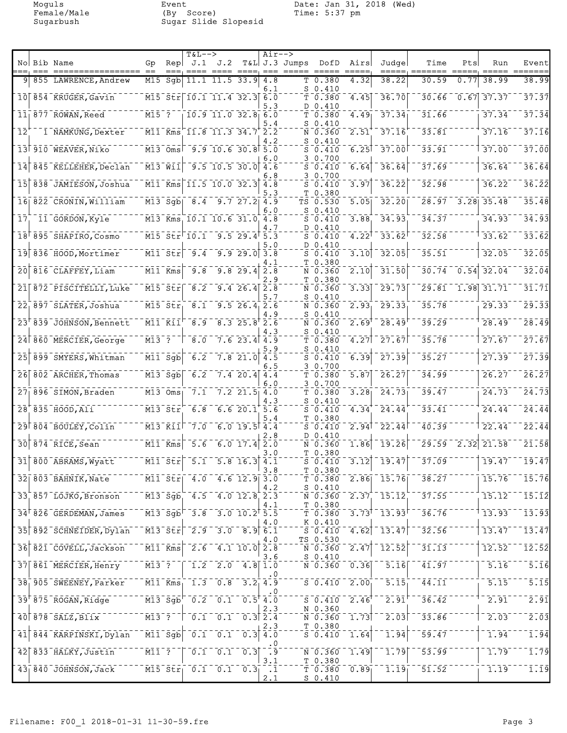Moguls Event Date: Jan 31, 2018 (Wed) Female/Male (By Score) Time: 5:37 pm Sugarbush Sugar Slide Slopesid

|                            | No Bib Name                                                   | Gp                                                    | Rep                                               | <b>T&amp;L--&gt;</b><br>J.1                                | J.2                                                                                                                  |                             | Air-->                                                     | $T&L$ J.3 Jumps | DofD                                                        | Airs              | Judge                       | Time                                  | Pts  | Run                       | Event                                                          |
|----------------------------|---------------------------------------------------------------|-------------------------------------------------------|---------------------------------------------------|------------------------------------------------------------|----------------------------------------------------------------------------------------------------------------------|-----------------------------|------------------------------------------------------------|-----------------|-------------------------------------------------------------|-------------------|-----------------------------|---------------------------------------|------|---------------------------|----------------------------------------------------------------|
|                            |                                                               |                                                       |                                                   |                                                            |                                                                                                                      |                             |                                                            |                 |                                                             |                   |                             |                                       |      |                           |                                                                |
| 91                         | 855 LAWRENCE, Andrew                                          |                                                       | $M15$ Sgb                                         |                                                            | $11.1$ $11.5$ $33.9$ $4.8$                                                                                           |                             | 6.1                                                        |                 | T 0.380<br>$S_0.410$                                        | 4.32              | 38.22                       | 30.59                                 | 0.77 | 38.99                     | 38.99                                                          |
|                            | 10 854 KRUGER, Gavin                                          |                                                       |                                                   |                                                            | M15 Str 10.1 11.4 32.3 6.0                                                                                           |                             | 5.3                                                        |                 | T 0.380<br>D 0.410                                          | 4.45              | 36.70                       | 30.66                                 |      | $0.67$ 37.37              | 37.37                                                          |
|                            | $11$ 877 ROWAN, Reed                                          | $M15$ <sup>-</sup> ?                                  |                                                   |                                                            | $10.9$ $11.0$ $32.8$ 6.0                                                                                             |                             |                                                            |                 | T 0.380                                                     | 4.49              | 37.34                       | 31.66                                 |      | 37.34                     | 37.34                                                          |
| $\overline{1}\overline{2}$ | 1 NAMKUNG, Dexter                                             |                                                       |                                                   |                                                            | $\overline{M11}$ Kms $\overline{11.8}$ $\overline{11.3}$ $\overline{34.7}$ $\overline{2.2}$                          |                             | 5.4                                                        |                 | $S_0.410$<br>N 0.360                                        | $\overline{2.51}$ | 37.16                       | 33.81                                 |      | 37.16                     | 37.16                                                          |
|                            | 13 910 WEAVER, Niko                                           |                                                       |                                                   |                                                            | $\overline{M13}$ $\overline{Oms}$ $\overline{9.9}$ 10.6 30.8 5.0                                                     |                             | 4.2                                                        |                 | $S_0.410$<br>$S_0.410$                                      | 6.25              | $\overline{37.00}$          | 33.91                                 |      | 37.00                     | 37.00                                                          |
| 14                         | 845 KELLEHER, Declan                                          | $\overline{M13}$ $\overline{W11}$                     |                                                   |                                                            | $\begin{bmatrix} 9.5 & 10.5 & 30.0 \end{bmatrix}$                                                                    |                             | 6.0<br>4.6                                                 |                 | 3 0.700<br>$S_0.410$                                        | 6.64              | 36.64                       | 37.69                                 |      | 36.64                     | 36.64                                                          |
|                            |                                                               |                                                       |                                                   |                                                            |                                                                                                                      |                             | 6.8                                                        |                 | 3 0.700                                                     |                   |                             |                                       |      |                           |                                                                |
| $\overline{15}$            | 838 JAMIESON, Joshua                                          |                                                       |                                                   |                                                            | $\overline{M11}$ Kms 11.5 10.0 32.3 4.8                                                                              |                             | $\cdot$ 3                                                  |                 | $S_0.410$<br>T 0.380                                        | 3.97              | 36.22                       | 32.98                                 |      | 36.22                     | 36.22                                                          |
|                            | 16 822 CRONIN, William                                        |                                                       |                                                   |                                                            | $\overline{M13}$ Sgb $\overline{8.4}$ 9.7 27.2 4.9                                                                   |                             | 6.0                                                        |                 | TS 0.530<br>$S_0.410$                                       | 5.05              | $\overline{32.20}$          |                                       |      | $28.97 - 3.28$ 35.48      | 35.48                                                          |
| 17 <sub>1</sub>            | 11 GORDON, Kyle                                               |                                                       |                                                   |                                                            | M13 Kms 10.1 10.6 31.0 4.8                                                                                           |                             | 4.7                                                        |                 | $S_0.410$<br>D 0.410                                        | 3.88              | 34.93                       | 34.37                                 |      | 34.93                     | 34.93                                                          |
|                            | 18 895 SHAPIRO, Cosmo                                         |                                                       |                                                   | $\overline{\texttt{M15}}$ str $\overline{\texttt{10.1}}$ . |                                                                                                                      | $9.5$ 29.4 $5.\overline{3}$ |                                                            |                 | $S_0.410$                                                   | 4.22              | 33.62                       | 32.58                                 |      | 33.62                     | 33.62                                                          |
|                            | 19 836 HOOD, Mortimer                                         |                                                       |                                                   | $\overline{M11}$ $\overline{Str}$ $\overline{9.4}$         |                                                                                                                      | $9.9$ $29.0$ $3.8$          | 5.0                                                        |                 | D 0.410<br>$S_0.410$                                        | 3.10              | 32.05                       | 35.51                                 |      | 32.05                     | 32.05                                                          |
|                            | 20 816 CLAFFEY, Liam                                          | $\bar{M1}$ $\bar{1}$ $\bar{K}$ ms                     |                                                   | -9.8                                                       |                                                                                                                      | 9.829.4                     | 4.1<br>2.8                                                 |                 | T 0.380<br>N 0.360                                          | 2.10              | 31.50                       | 30.74                                 |      | $\overline{0.54}$ 32.04   | 32.04                                                          |
| 21                         | 872 PISCITELLI, Luke                                          | $M15$ Str                                             |                                                   | $\overline{8.2}$                                           |                                                                                                                      | $9.4 \ 26.4$ $2.8$          | . 9                                                        |                 | T 0.380<br>N 0.360                                          | 3.33              | 29.73                       |                                       |      | $\sqrt{29.81}$ 1.98 31.71 | 31.71                                                          |
|                            |                                                               |                                                       |                                                   |                                                            |                                                                                                                      |                             | 5.7                                                        |                 | $S_0.410$                                                   |                   |                             |                                       |      |                           |                                                                |
|                            | 22 <sub>1</sub> 897 SLATER, Joshua                            |                                                       | $M15$ $Str_1$                                     | 8.1                                                        |                                                                                                                      | $9.5\ 26.4\ 2.6$            | 4.9                                                        |                 | N 0.360<br>$S_0.410$                                        | 2.93              | 29.33                       | 35.78                                 |      | 29.33                     | 29.33                                                          |
|                            | 23 839 JOHNSON, Bennett                                       |                                                       | $M11$ $K11$                                       | 8.9                                                        |                                                                                                                      | 8.325.82.6                  | 4.3                                                        |                 | N 0.360<br>$S_0.410$                                        | 2.69              | 28.49                       | 39.29                                 |      | 28.49                     | 28.49                                                          |
| 24 <sub>1</sub>            | 860 MERCIER, George                                           | M13 ?                                                 |                                                   | 8.0                                                        |                                                                                                                      | $7.6$ 23.4 4.9              |                                                            |                 | T 0.380                                                     | 4.27              | $-27.67$                    | 35.78                                 |      | 27.67                     | 27.67                                                          |
| $\overline{25}$            | 899 SMYERS, Whitman                                           |                                                       | $\overline{M11}$ $\overline{Sg}b$                 | 6.2                                                        |                                                                                                                      | $7.8$ 21.0                  | 5.9<br>4.5                                                 |                 | $S_0.410$<br>$S_0.410$                                      | 6.39              | 27.39                       | 35.27                                 |      | 27.39                     | 27.39                                                          |
|                            | $26$ $802$ ARCHER, Thomas                                     |                                                       | $M13$ Sqb                                         | 6.2                                                        |                                                                                                                      | $7.4$ 20.4 4.4              | 6.5                                                        |                 | 30.700<br>T 0.380                                           | 5.87              | 26.27                       | 34.99                                 |      | 26.27                     | 26.27                                                          |
|                            | 27 896 SIMON, Braden                                          | M13 Oms                                               |                                                   | $\overline{7.1}$                                           |                                                                                                                      | $7.2$ $21.5$ 4.0            | 6.0                                                        |                 | 3 0.700<br>T 0.380                                          | 3.28              | 24.73                       | 39.47                                 |      | 24.73                     | 24.73                                                          |
|                            | $28^{+835}$ $H00D, A11$                                       | $M13$ Str                                             |                                                   | 6.8                                                        |                                                                                                                      | 6.620.15.6                  | 4.3                                                        |                 | $S_0.410$<br>$S_0.410$                                      | 4.34              | 24.44                       | 33.41                                 |      | 24.44                     | 24.44                                                          |
|                            |                                                               |                                                       |                                                   |                                                            |                                                                                                                      |                             |                                                            |                 | T 0.380                                                     |                   |                             |                                       |      |                           |                                                                |
|                            | 29 804 BOULEY, Colin                                          | $\bar{M}$ 13 $^{-}$ Kii $^ $                          |                                                   | 7.0                                                        |                                                                                                                      | $6.0$ 19.5 $4.4$            | 2.8                                                        |                 | $S_0.410$<br>D 0.410                                        | 2.94              | 22.44                       | 40.39                                 |      | 22.44                     | $\bar{2}\bar{2}\cdot\bar{4}\bar{4}$                            |
|                            | $30$ $874$ RICE, Sean                                         | M11 Kms                                               |                                                   | 5.6                                                        |                                                                                                                      | $6.0 17.4$ 2.0              | 3.0                                                        |                 | N 0.360<br>T 0.380                                          | 1.86              | 19.26                       | 29.59                                 | 2.32 | 21.58                     | 21.58                                                          |
|                            | 31 800 ABRAMS, Wyatt                                          |                                                       | $\overline{M11}$ $\overline{S}$ tr $\overline{S}$ | $\bar{5}.\bar{1}$                                          |                                                                                                                      | $\overline{5.8}$ 16.3 4.1   | 3.8                                                        |                 | $S_0.410$<br>T 0.380                                        | $\overline{3.12}$ | 19.47                       | 37.09                                 |      | 19.47                     | 19.47                                                          |
|                            | 32  803 BAHNIK, Nate                                          |                                                       |                                                   |                                                            | $\overline{M11}$ $\overline{Str}$ 4.0 4.6 12.9 3.0                                                                   |                             |                                                            |                 | T 0.380                                                     |                   | $2.86$ $15.76$              | 38.27                                 |      | 15.76                     | 15.76                                                          |
|                            | 33 857 LOJKO, Bronson                                         | $\bar{M}$ 13 $\bar{S}$ g $\bar{b}$                    |                                                   |                                                            | $4.5 - 4.0$ $12.8$ <sub>, 2.3</sub>                                                                                  |                             | 4.2                                                        |                 | $S_0.410$<br>N 0.360                                        |                   | $2.37 - 15.12$              | 37.55                                 |      | 15.12                     | $\overline{15.12}$                                             |
|                            | $34^{\dagger}$ 826 GERDEMAN, James                            |                                                       |                                                   |                                                            | $\overline{M13}$ $\overline{Sg}$ $\overline{D}$ $\overline{3.8}$ $\overline{3.0}$ $\overline{10.2}$ $\overline{5.5}$ |                             | 4.1                                                        |                 | T 0.380<br>T <sub>0.380</sub>                               |                   | $3.73$ <sup>1</sup> $13.93$ | 36.76                                 |      | 13.93                     | 13.93                                                          |
|                            | 35 892 SCHNEIDER, Dylan                                       |                                                       |                                                   |                                                            | $\overline{M13}$ $\overline{51r}$ $\overline{2.9}$ $\overline{3.0}$ $\overline{8.9}$ $\overline{6.1}$                |                             | 4.O                                                        |                 | K 0.410<br>$S = 0.410$                                      | 4.62              | $-13.47$                    | 32.56                                 |      | 13.47                     | $\overline{1}\overline{3}\overline{.}\overline{4}\overline{7}$ |
|                            |                                                               |                                                       |                                                   |                                                            |                                                                                                                      |                             | 4.O                                                        |                 | TS 0.530                                                    |                   |                             |                                       |      |                           |                                                                |
|                            | 36 821 COVELL, Jackson                                        |                                                       | $\overline{M11}$ $\overline{Kms}$                 |                                                            | $\frac{1}{2.6}$ $\frac{1}{4.1}$ $\frac{1}{10.0}$ $\frac{1}{2.8}$                                                     |                             | 3.6                                                        |                 | N 0.360<br>$S_0.410$                                        | 2.47              | 12.52                       | 31.13                                 |      | 12.52                     | $\bar{1}\bar{2}\bar{.}\bar{5}\bar{2}$                          |
|                            | 37 861 MERCIER, Henry                                         | $\overline{M13}$ <sup>-</sup> ?                       |                                                   |                                                            | $1.2 - 2.0 - 4.8$ 1.0                                                                                                |                             | . 0                                                        |                 | $\overline{\texttt{N}}$ $\overline{\texttt{0}}$ . 360       | $\overline{0.36}$ | 5.16                        | 41.97                                 |      | 5.16                      | $\overline{5.16}$                                              |
|                            | 38 905 SWEENEY, Parker                                        |                                                       | $\overline{M11}$ $\overline{Kms}$                 |                                                            | $-1.3 - 0.8 - 3.2 - 4.9$                                                                                             |                             | . 0                                                        |                 | $\bar{s}$ $\bar{0}$ $\bar{4}$ $\bar{1}$ $\bar{0}$ $\bar{0}$ | $\frac{1}{2.00}$  | $\overline{5.15}$           | $\bar{4}\bar{4}\bar{.}\bar{1}\bar{1}$ |      | 5.15                      | 5.15                                                           |
|                            | 39 <sup>F</sup> 875 ROGAN, Ridge                              |                                                       |                                                   |                                                            | $\bar{1}$ M13 Sgb $^{-}$ 0.2 $^{-}$ 0.1 $^{-}$ 0.5 4.0                                                               |                             |                                                            |                 | $\bar{s}$ $\bar{0}$ $\bar{4}$ $\bar{1}$ $\bar{0}$           | $2.46^{\dagger}$  | 2.91                        | $\bar{36.42}$                         |      | 2.91                      | $\overline{2.91}$                                              |
|                            | $40$ $878$ $5\overline{\text{ALZ}}$ , $\overline{\text{BLZ}}$ | $\overline{M13}^{-}$ ?                                |                                                   |                                                            | $\overline{0.1}$ $\overline{0.1}$ $\overline{0.3}$ $\overline{2.4}$                                                  |                             | 2.3                                                        |                 | N 0.360<br>$N^-0.360$                                       | $\overline{1.73}$ | $\overline{2.03}$           | 33.86                                 |      | 2.03                      | $\overline{2.03}$                                              |
|                            | 41 844 KARPINSKI, Dylan                                       | $\bar{M}$ l $\bar{1}$ $\bar{S}$ g $\bar{b}$ $\bar{S}$ |                                                   |                                                            | $\overline{0.1}$ $\overline{0.1}$ $\overline{0.3}$ $\overline{4.0}$                                                  |                             | 2.3                                                        |                 | T 0.380<br>$S_0.410$                                        | 1.64              | 1.94                        | 59.47                                 |      | 1.94                      | 1.94                                                           |
|                            | $42$ 833 HALKY, Justin                                        | $\overline{M11}$ <sup>-</sup> ?                       |                                                   |                                                            | $\begin{bmatrix} 0.1 & 0.1 & 0.3 \end{bmatrix}$                                                                      |                             | . 0<br>$\overline{\phantom{a}}$ . $\overline{\phantom{a}}$ |                 | $N - 0.360$                                                 | 1.49              | 1.79                        | 53.99                                 |      | 1.79                      | $\overline{1}$ . 79                                            |
|                            |                                                               |                                                       |                                                   |                                                            | $\overline{M15}$ $\overline{5}$ $\overline{t}$ $\overline{r}$ $\overline{0.1}$ $\overline{0.1}$ $\overline{0.3}$     |                             | 3.1                                                        |                 | T 0.380                                                     |                   |                             |                                       |      |                           | $\overline{1} \cdot \overline{1} \overline{9}$                 |
|                            | $\overline{43}$ $\overline{840}$ JOHNSON, Jack                |                                                       |                                                   |                                                            |                                                                                                                      |                             | $\overline{1}$<br>2.1                                      |                 | $T$ 0.380<br><u>S 0.410</u>                                 | 0.89              | 1.19                        | 51.52                                 |      | 1.19                      |                                                                |